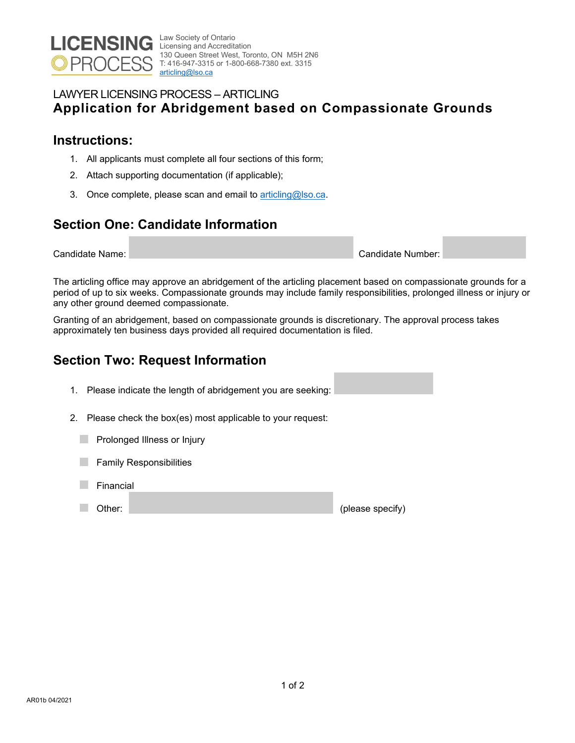

Law Society of Ontario Licensing and Accreditation 130 Queen Street West, Toronto, ON M5H 2N6 T: 416-947-3315 or 1-800-668-7380 ext. 3315 [articling@lso.ca](mailto:articling@lso.ca) 

#### LAWYER LICENSING PROCESS – ARTICLING **Application for Abridgement based on Compassionate Grounds**

### **Instructions:**

- 1. All applicants must complete all four sections of this form;
- 2. Attach supporting documentation (if applicable);
- 3. Once complete, please scan and email to [articling@lso.ca.](mailto:articling@lso.ca)

# **Section One: Candidate Information**

Candidate Name: Candidate Number:

The articling office may approve an abridgement of the articling placement based on compassionate grounds for a period of up to six weeks. Compassionate grounds may include family responsibilities, prolonged illness or injury or any other ground deemed compassionate.

Granting of an abridgement, based on compassionate grounds is discretionary. The approval process takes approximately ten business days provided all required documentation is filed.

# **Section Two: Request Information**

- 1. Please indicate the length of abridgement you are seeking:
- 2. Please check the box(es) most applicable to your request:
	- **Prolonged Illness or Injury**
	- Family Responsibilities
	- Financial
	- a a Other: (please specify)